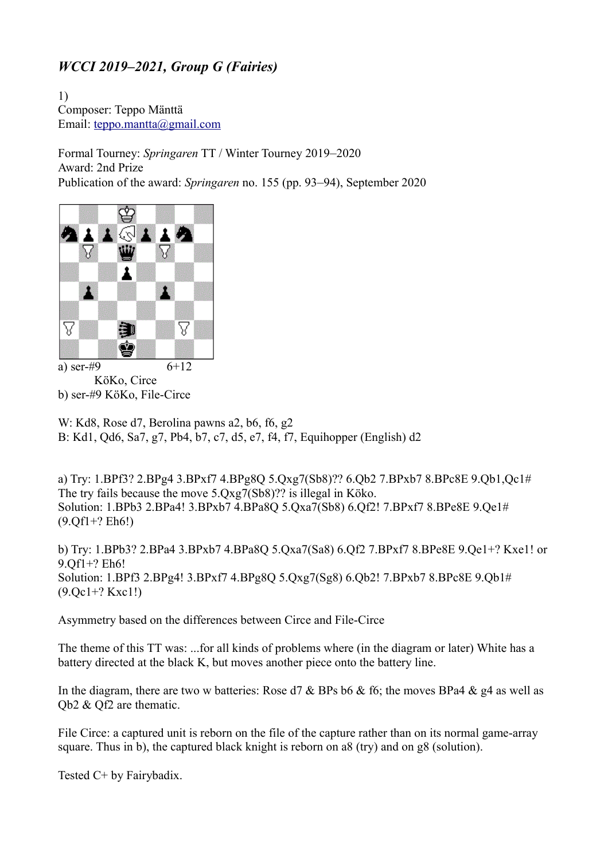## *WCCI 2019–2021, Group G (Fairies)*

1) Composer: Teppo Mänttä Email: [teppo.mantta@gmail.com](mailto:teppo.mantta@gmail.com)

Formal Tourney: *Springaren* TT / Winter Tourney 2019–2020 Award: 2nd Prize Publication of the award: *Springaren* no. 155 (pp. 93–94), September 2020



KöKo, Circe b) ser-#9 KöKo, File-Circe

W: Kd8, Rose d7, Berolina pawns a2, b6, f6, g2 B: Kd1, Qd6, Sa7, g7, Pb4, b7, c7, d5, e7, f4, f7, Equihopper (English) d2

a) Try: 1.BPf3? 2.BPg4 3.BPxf7 4.BPg8Q 5.Qxg7(Sb8)?? 6.Qb2 7.BPxb7 8.BPc8E 9.Qb1,Qc1# The try fails because the move 5.Qxg7(Sb8)?? is illegal in Köko. Solution: 1.BPb3 2.BPa4! 3.BPxb7 4.BPa8Q 5.Qxa7(Sb8) 6.Qf2! 7.BPxf7 8.BPe8E 9.Qe1# (9.Qf1+? Eh6!)

b) Try: 1.BPb3? 2.BPa4 3.BPxb7 4.BPa8Q 5.Qxa7(Sa8) 6.Qf2 7.BPxf7 8.BPe8E 9.Qe1+? Kxe1! or 9.Qf1+? Eh6! Solution: 1.BPf3 2.BPg4! 3.BPxf7 4.BPg8Q 5.Qxg7(Sg8) 6.Qb2! 7.BPxb7 8.BPc8E 9.Qb1# (9.Qc1+? Kxc1!)

Asymmetry based on the differences between Circe and File-Circe

The theme of this TT was: ...for all kinds of problems where (in the diagram or later) White has a battery directed at the black K, but moves another piece onto the battery line.

In the diagram, there are two w batteries: Rose d7 & BPs b6 & f6; the moves BPa4 & g4 as well as Qb2 & Qf2 are thematic.

File Circe: a captured unit is reborn on the file of the capture rather than on its normal game-array square. Thus in b), the captured black knight is reborn on a8 (try) and on g8 (solution).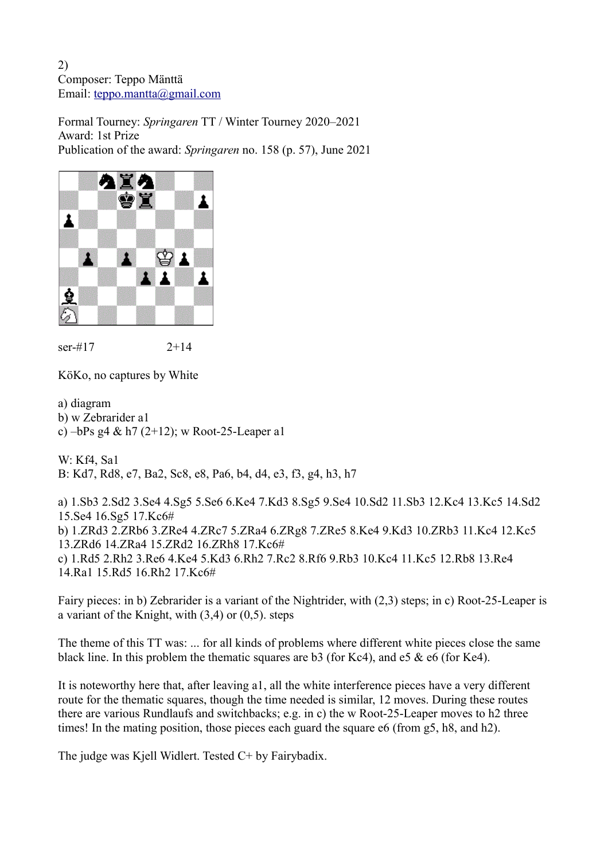Formal Tourney: *Springaren* TT / Winter Tourney 2020–2021 Award: 1st Prize Publication of the award: *Springaren* no. 158 (p. 57), June 2021



ser-#17 2+14

KöKo, no captures by White

a) diagram b) w Zebrarider a1 c) –bPs g4 & h7 (2+12); w Root-25-Leaper a1

W: Kf4, Sa1 B: Kd7, Rd8, e7, Ba2, Sc8, e8, Pa6, b4, d4, e3, f3, g4, h3, h7

a) 1.Sb3 2.Sd2 3.Se4 4.Sg5 5.Se6 6.Ke4 7.Kd3 8.Sg5 9.Se4 10.Sd2 11.Sb3 12.Kc4 13.Kc5 14.Sd2 15.Se4 16.Sg5 17.Kc6# b) 1.ZRd3 2.ZRb6 3.ZRe4 4.ZRc7 5.ZRa4 6.ZRg8 7.ZRe5 8.Ke4 9.Kd3 10.ZRb3 11.Kc4 12.Kc5 13.ZRd6 14.ZRa4 15.ZRd2 16.ZRh8 17.Kc6# c) 1.Rd5 2.Rh2 3.Re6 4.Ke4 5.Kd3 6.Rh2 7.Rc2 8.Rf6 9.Rb3 10.Kc4 11.Kc5 12.Rb8 13.Re4 14.Ra1 15.Rd5 16.Rh2 17.Kc6#

Fairy pieces: in b) Zebrarider is a variant of the Nightrider, with (2,3) steps; in c) Root-25-Leaper is a variant of the Knight, with  $(3,4)$  or  $(0,5)$ . steps

The theme of this TT was: ... for all kinds of problems where different white pieces close the same black line. In this problem the thematic squares are b3 (for Kc4), and e5 & e6 (for Ke4).

It is noteworthy here that, after leaving a1, all the white interference pieces have a very different route for the thematic squares, though the time needed is similar, 12 moves. During these routes there are various Rundlaufs and switchbacks; e.g. in c) the w Root-25-Leaper moves to h2 three times! In the mating position, those pieces each guard the square e6 (from g5, h8, and h2).

The judge was Kjell Widlert. Tested C+ by Fairybadix.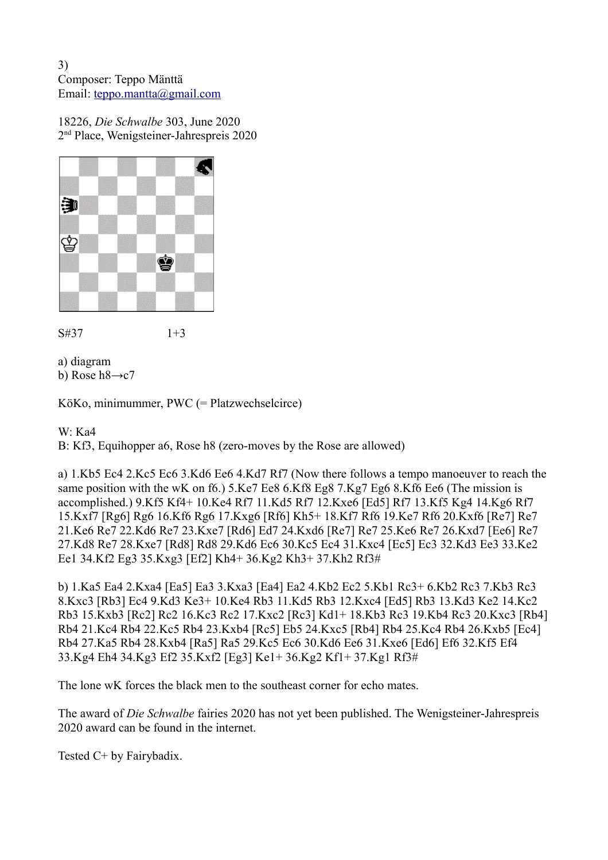18226, *Die Schwalbe* 303, June 2020 2 nd Place, Wenigsteiner-Jahrespreis 2020







a) diagram b) Rose  $h8\rightarrow c7$ 

KöKo, minimummer, PWC (= Platzwechselcirce)

W: Ka4

B: Kf3, Equihopper a6, Rose h8 (zero-moves by the Rose are allowed)

a) 1.Kb5 Ec4 2.Kc5 Ec6 3.Kd6 Ee6 4.Kd7 Rf7 (Now there follows a tempo manoeuver to reach the same position with the wK on f6.) 5.Ke7 Ee8 6.Kf8 Eg8 7.Kg7 Eg6 8.Kf6 Ee6 (The mission is accomplished.) 9.Kf5 Kf4+ 10.Ke4 Rf7 11.Kd5 Rf7 12.Kxe6 [Ed5] Rf7 13.Kf5 Kg4 14.Kg6 Rf7 15.Kxf7 [Rg6] Rg6 16.Kf6 Rg6 17.Kxg6 [Rf6] Kh5+ 18.Kf7 Rf6 19.Ke7 Rf6 20.Kxf6 [Re7] Re7 21.Ke6 Re7 22.Kd6 Re7 23.Kxe7 [Rd6] Ed7 24.Kxd6 [Re7] Re7 25.Ke6 Re7 26.Kxd7 [Ee6] Re7 27.Kd8 Re7 28.Kxe7 [Rd8] Rd8 29.Kd6 Ec6 30.Kc5 Ec4 31.Kxc4 [Ec5] Ec3 32.Kd3 Ee3 33.Ke2 Ee1 34.Kf2 Eg3 35.Kxg3 [Ef2] Kh4+ 36.Kg2 Kh3+ 37.Kh2 Rf3#

b) 1.Ka5 Ea4 2.Kxa4 [Ea5] Ea3 3.Kxa3 [Ea4] Ea2 4.Kb2 Ec2 5.Kb1 Rc3+ 6.Kb2 Rc3 7.Kb3 Rc3 8.Kxc3 [Rb3] Ec4 9.Kd3 Ke3+ 10.Ke4 Rb3 11.Kd5 Rb3 12.Kxc4 [Ed5] Rb3 13.Kd3 Ke2 14.Kc2 Rb3 15.Kxb3 [Rc2] Rc2 16.Kc3 Rc2 17.Kxc2 [Rc3] Kd1+ 18.Kb3 Rc3 19.Kb4 Rc3 20.Kxc3 [Rb4] Rb4 21.Kc4 Rb4 22.Kc5 Rb4 23.Kxb4 [Rc5] Eb5 24.Kxc5 [Rb4] Rb4 25.Kc4 Rb4 26.Kxb5 [Ec4] Rb4 27.Ka5 Rb4 28.Kxb4 [Ra5] Ra5 29.Kc5 Ec6 30.Kd6 Ee6 31.Kxe6 [Ed6] Ef6 32.Kf5 Ef4 33.Kg4 Eh4 34.Kg3 Ef2 35.Kxf2 [Eg3] Ke1+ 36.Kg2 Kf1+ 37.Kg1 Rf3#

The lone wK forces the black men to the southeast corner for echo mates.

The award of *Die Schwalbe* fairies 2020 has not yet been published. The Wenigsteiner-Jahrespreis 2020 award can be found in the internet.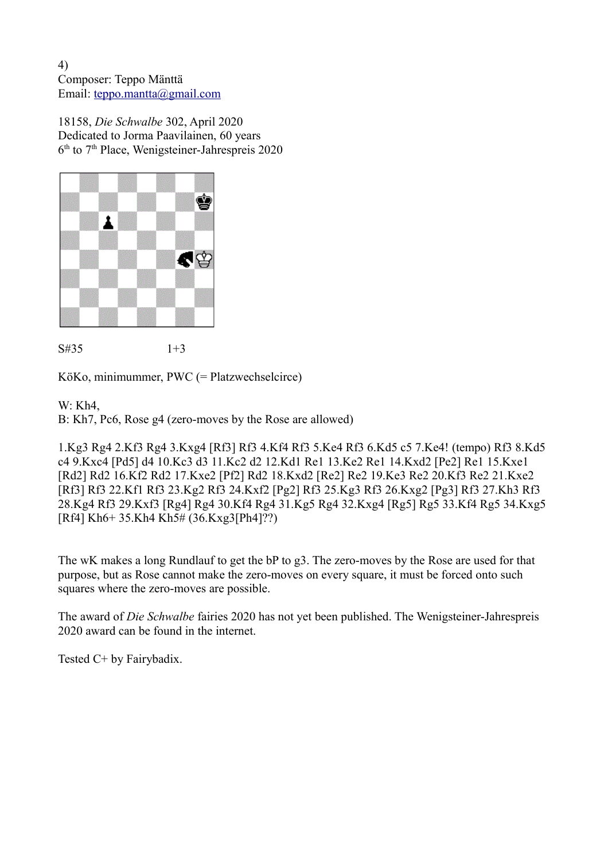18158, *Die Schwalbe* 302, April 2020 Dedicated to Jorma Paavilainen, 60 years 6<sup>th</sup> to 7<sup>th</sup> Place, Wenigsteiner-Jahrespreis 2020



S#35 1+3

KöKo, minimummer, PWC (= Platzwechselcirce)

## W: Kh4,

B: Kh7, Pc6, Rose g4 (zero-moves by the Rose are allowed)

1.Kg3 Rg4 2.Kf3 Rg4 3.Kxg4 [Rf3] Rf3 4.Kf4 Rf3 5.Ke4 Rf3 6.Kd5 c5 7.Ke4! (tempo) Rf3 8.Kd5 c4 9.Kxc4 [Pd5] d4 10.Kc3 d3 11.Kc2 d2 12.Kd1 Re1 13.Ke2 Re1 14.Kxd2 [Pe2] Re1 15.Kxe1 [Rd2] Rd2 16.Kf2 Rd2 17.Kxe2 [Pf2] Rd2 18.Kxd2 [Re2] Re2 19.Ke3 Re2 20.Kf3 Re2 21.Kxe2 [Rf3] Rf3 22.Kf1 Rf3 23.Kg2 Rf3 24.Kxf2 [Pg2] Rf3 25.Kg3 Rf3 26.Kxg2 [Pg3] Rf3 27.Kh3 Rf3 28.Kg4 Rf3 29.Kxf3 [Rg4] Rg4 30.Kf4 Rg4 31.Kg5 Rg4 32.Kxg4 [Rg5] Rg5 33.Kf4 Rg5 34.Kxg5 [Rf4] Kh6+ 35.Kh4 Kh5# (36.Kxg3[Ph4]??)

The wK makes a long Rundlauf to get the bP to g3. The zero-moves by the Rose are used for that purpose, but as Rose cannot make the zero-moves on every square, it must be forced onto such squares where the zero-moves are possible.

The award of *Die Schwalbe* fairies 2020 has not yet been published. The Wenigsteiner-Jahrespreis 2020 award can be found in the internet.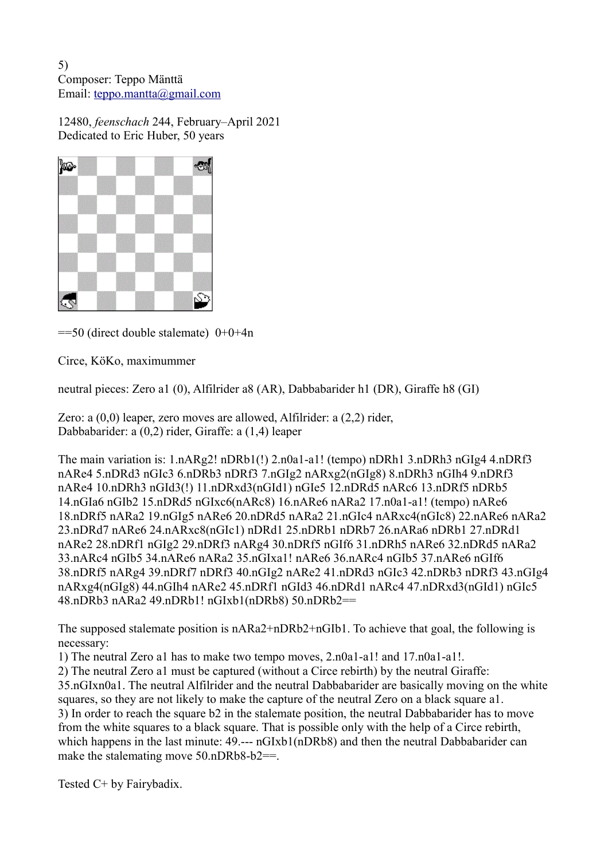12480, *feenschach* 244, February–April 2021 Dedicated to Eric Huber, 50 years



 $==50$  (direct double stalemate)  $0+0+4n$ 

Circe, KöKo, maximummer

neutral pieces: Zero a1 (0), Alfilrider a8 (AR), Dabbabarider h1 (DR), Giraffe h8 (GI)

Zero: a (0,0) leaper, zero moves are allowed, Alfilrider: a (2,2) rider, Dabbabarider: a (0,2) rider, Giraffe: a (1,4) leaper

The main variation is: 1.nARg2! nDRb1(!) 2.n0a1-a1! (tempo) nDRh1 3.nDRh3 nGIg4 4.nDRf3 nARe4 5.nDRd3 nGIc3 6.nDRb3 nDRf3 7.nGIg2 nARxg2(nGIg8) 8.nDRh3 nGIh4 9.nDRf3 nARe4 10.nDRh3 nGId3(!) 11.nDRxd3(nGId1) nGIe5 12.nDRd5 nARc6 13.nDRf5 nDRb5 14.nGIa6 nGIb2 15.nDRd5 nGIxc6(nARc8) 16.nARe6 nARa2 17.n0a1-a1! (tempo) nARe6 18.nDRf5 nARa2 19.nGIg5 nARe6 20.nDRd5 nARa2 21.nGIc4 nARxc4(nGIc8) 22.nARe6 nARa2 23.nDRd7 nARe6 24.nARxc8(nGIc1) nDRd1 25.nDRb1 nDRb7 26.nARa6 nDRb1 27.nDRd1 nARe2 28.nDRf1 nGIg2 29.nDRf3 nARg4 30.nDRf5 nGIf6 31.nDRh5 nARe6 32.nDRd5 nARa2 33.nARc4 nGIb5 34.nARe6 nARa2 35.nGIxa1! nARe6 36.nARc4 nGIb5 37.nARe6 nGIf6 38.nDRf5 nARg4 39.nDRf7 nDRf3 40.nGIg2 nARe2 41.nDRd3 nGIc3 42.nDRb3 nDRf3 43.nGIg4 nARxg4(nGIg8) 44.nGIh4 nARe2 45.nDRf1 nGId3 46.nDRd1 nARc4 47.nDRxd3(nGId1) nGIc5 48.nDRb3 nARa2 49.nDRb1! nGIxb1(nDRb8) 50.nDRb2==

The supposed stalemate position is nARa2+nDRb2+nGIb1. To achieve that goal, the following is necessary:

1) The neutral Zero a1 has to make two tempo moves, 2.n0a1-a1! and 17.n0a1-a1!.

2) The neutral Zero a1 must be captured (without a Circe rebirth) by the neutral Giraffe:

35.nGIxn0a1. The neutral Alfilrider and the neutral Dabbabarider are basically moving on the white squares, so they are not likely to make the capture of the neutral Zero on a black square a1. 3) In order to reach the square b2 in the stalemate position, the neutral Dabbabarider has to move from the white squares to a black square. That is possible only with the help of a Circe rebirth, which happens in the last minute: 49.--- nGIxb1(nDRb8) and then the neutral Dabbabarider can make the stalemating move 50.nDRb8-b2==.